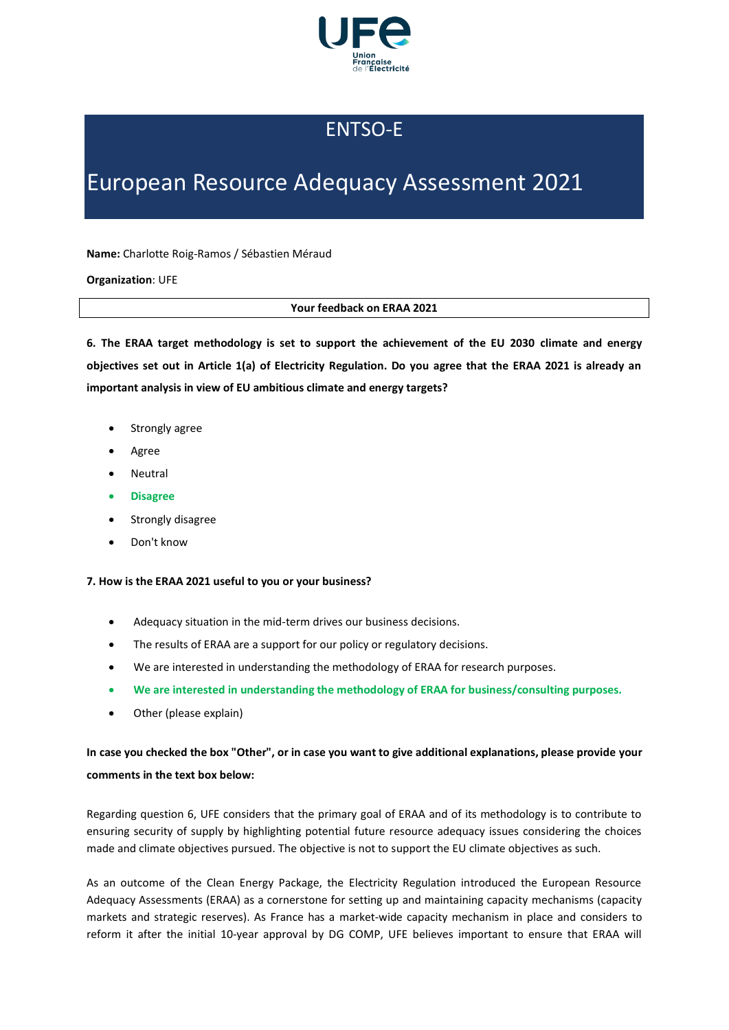

## ENTSO-E

# European Resource Adequacy Assessment 2021

**Name:** Charlotte Roig-Ramos / Sébastien Méraud

**Organization**: UFE

#### **Your feedback on ERAA 2021**

**6. The ERAA target methodology is set to support the achievement of the EU 2030 climate and energy objectives set out in Article 1(a) of Electricity Regulation. Do you agree that the ERAA 2021 is already an important analysis in view of EU ambitious climate and energy targets?**

- Strongly agree
- Agree
- **Neutral**
- **Disagree**
- Strongly disagree
- Don't know

### **7. How is the ERAA 2021 useful to you or your business?**

- Adequacy situation in the mid-term drives our business decisions.
- The results of ERAA are a support for our policy or regulatory decisions.
- We are interested in understanding the methodology of ERAA for research purposes.
- **We are interested in understanding the methodology of ERAA for business/consulting purposes.**
- Other (please explain)

### **In case you checked the box "Other", or in case you want to give additional explanations, please provide your comments in the text box below:**

Regarding question 6, UFE considers that the primary goal of ERAA and of its methodology is to contribute to ensuring security of supply by highlighting potential future resource adequacy issues considering the choices made and climate objectives pursued. The objective is not to support the EU climate objectives as such.

As an outcome of the Clean Energy Package, the Electricity Regulation introduced the European Resource Adequacy Assessments (ERAA) as a cornerstone for setting up and maintaining capacity mechanisms (capacity markets and strategic reserves). As France has a market-wide capacity mechanism in place and considers to reform it after the initial 10-year approval by DG COMP, UFE believes important to ensure that ERAA will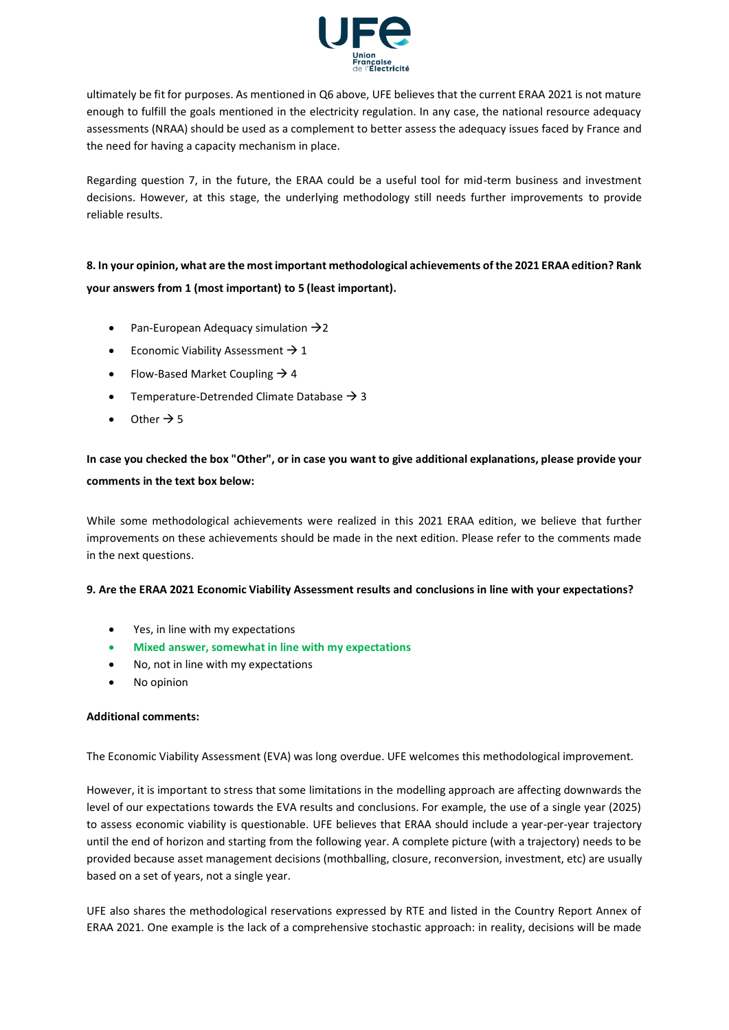

ultimately be fit for purposes. As mentioned in Q6 above, UFE believes that the current ERAA 2021 is not mature enough to fulfill the goals mentioned in the electricity regulation. In any case, the national resource adequacy assessments (NRAA) should be used as a complement to better assess the adequacy issues faced by France and the need for having a capacity mechanism in place.

Regarding question 7, in the future, the ERAA could be a useful tool for mid-term business and investment decisions. However, at this stage, the underlying methodology still needs further improvements to provide reliable results.

### **8. In your opinion, what are the most important methodological achievements of the 2021 ERAA edition? Rank your answers from 1 (most important) to 5 (least important).**

- Pan-European Adequacy simulation  $\rightarrow$  2
- Economic Viability Assessment  $\rightarrow$  1
- Flow-Based Market Coupling  $\rightarrow$  4
- Temperature-Detrended Climate Database  $\rightarrow$  3
- Other  $\rightarrow$  5

### **In case you checked the box "Other", or in case you want to give additional explanations, please provide your comments in the text box below:**

While some methodological achievements were realized in this 2021 ERAA edition, we believe that further improvements on these achievements should be made in the next edition. Please refer to the comments made in the next questions.

### **9. Are the ERAA 2021 Economic Viability Assessment results and conclusions in line with your expectations?**

- Yes, in line with my expectations
- **Mixed answer, somewhat in line with my expectations**
- No, not in line with my expectations
- No opinion

### **Additional comments:**

The Economic Viability Assessment (EVA) was long overdue. UFE welcomes this methodological improvement.

However, it is important to stress that some limitations in the modelling approach are affecting downwards the level of our expectations towards the EVA results and conclusions. For example, the use of a single year (2025) to assess economic viability is questionable. UFE believes that ERAA should include a year-per-year trajectory until the end of horizon and starting from the following year. A complete picture (with a trajectory) needs to be provided because asset management decisions (mothballing, closure, reconversion, investment, etc) are usually based on a set of years, not a single year.

UFE also shares the methodological reservations expressed by RTE and listed in the Country Report Annex of ERAA 2021. One example is the lack of a comprehensive stochastic approach: in reality, decisions will be made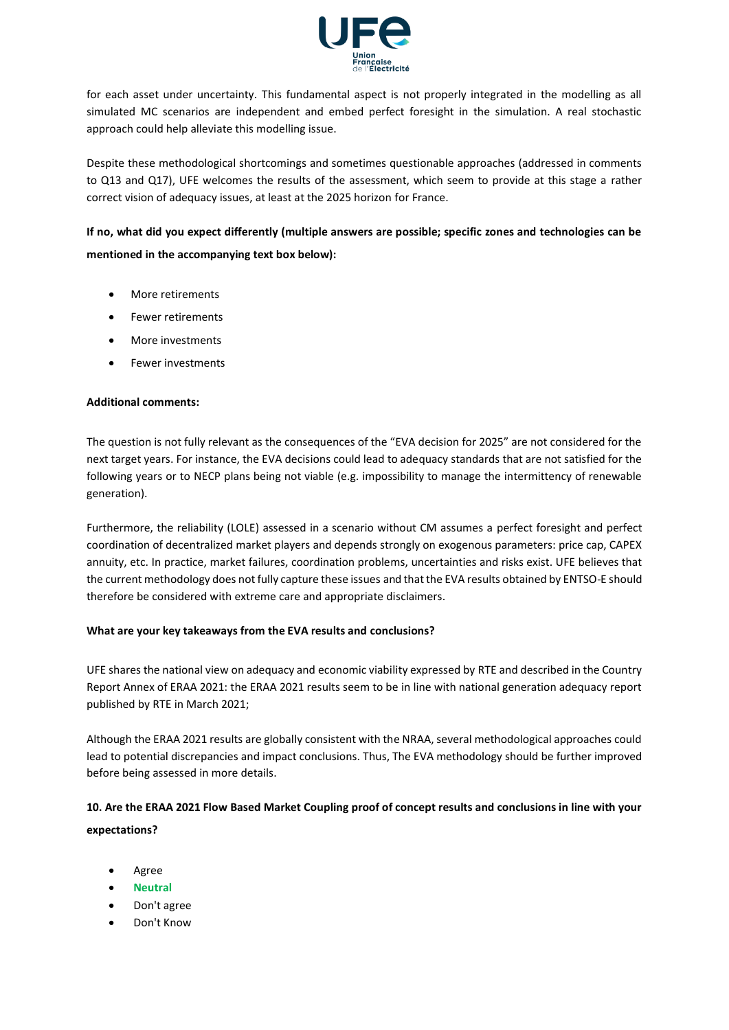

for each asset under uncertainty. This fundamental aspect is not properly integrated in the modelling as all simulated MC scenarios are independent and embed perfect foresight in the simulation. A real stochastic approach could help alleviate this modelling issue.

Despite these methodological shortcomings and sometimes questionable approaches (addressed in comments to Q13 and Q17), UFE welcomes the results of the assessment, which seem to provide at this stage a rather correct vision of adequacy issues, at least at the 2025 horizon for France.

**If no, what did you expect differently (multiple answers are possible; specific zones and technologies can be mentioned in the accompanying text box below):**

- More retirements
- Fewer retirements
- More investments
- Fewer investments

### **Additional comments:**

The question is not fully relevant as the consequences of the "EVA decision for 2025" are not considered for the next target years. For instance, the EVA decisions could lead to adequacy standards that are not satisfied for the following years or to NECP plans being not viable (e.g. impossibility to manage the intermittency of renewable generation).

Furthermore, the reliability (LOLE) assessed in a scenario without CM assumes a perfect foresight and perfect coordination of decentralized market players and depends strongly on exogenous parameters: price cap, CAPEX annuity, etc. In practice, market failures, coordination problems, uncertainties and risks exist. UFE believes that the current methodology does not fully capture these issues and that the EVA results obtained by ENTSO-E should therefore be considered with extreme care and appropriate disclaimers.

### **What are your key takeaways from the EVA results and conclusions?**

UFE shares the national view on adequacy and economic viability expressed by RTE and described in the Country Report Annex of ERAA 2021: the ERAA 2021 results seem to be in line with national generation adequacy report published by RTE in March 2021;

Although the ERAA 2021 results are globally consistent with the NRAA, several methodological approaches could lead to potential discrepancies and impact conclusions. Thus, The EVA methodology should be further improved before being assessed in more details.

### **10. Are the ERAA 2021 Flow Based Market Coupling proof of concept results and conclusions in line with your expectations?**

- Agree
- **Neutral**
- Don't agree
- Don't Know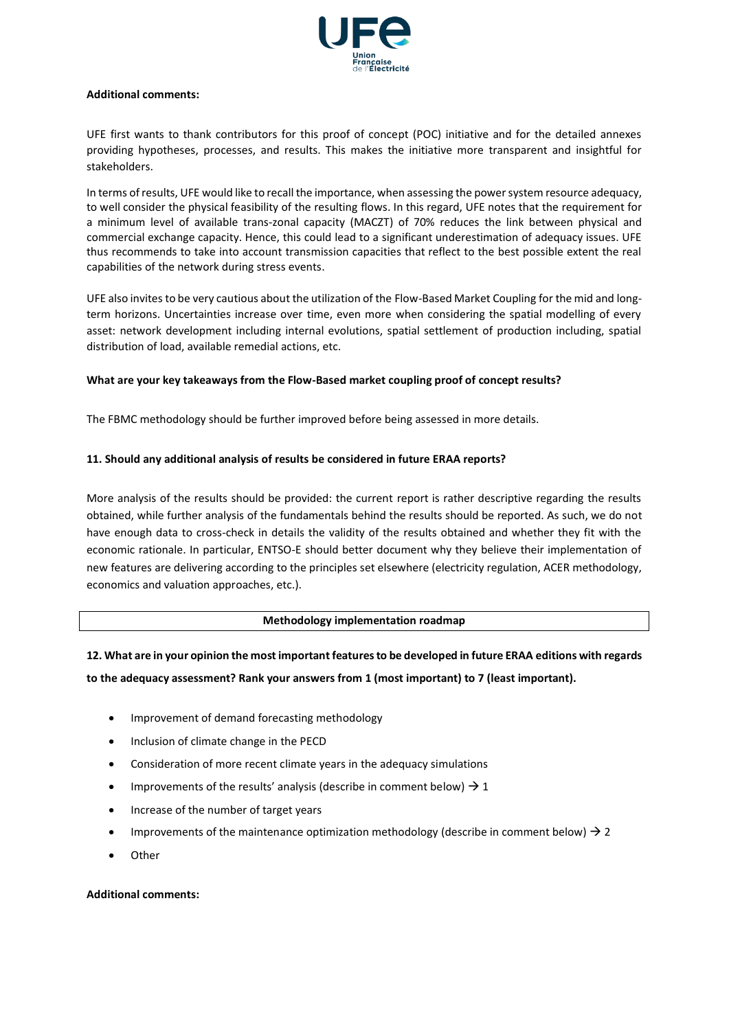

#### **Additional comments:**

UFE first wants to thank contributors for this proof of concept (POC) initiative and for the detailed annexes providing hypotheses, processes, and results. This makes the initiative more transparent and insightful for stakeholders.

In terms of results, UFE would like to recall the importance, when assessing the power system resource adequacy, to well consider the physical feasibility of the resulting flows. In this regard, UFE notes that the requirement for a minimum level of available trans-zonal capacity (MACZT) of 70% reduces the link between physical and commercial exchange capacity. Hence, this could lead to a significant underestimation of adequacy issues. UFE thus recommends to take into account transmission capacities that reflect to the best possible extent the real capabilities of the network during stress events.

UFE also invites to be very cautious about the utilization of the Flow-Based Market Coupling for the mid and longterm horizons. Uncertainties increase over time, even more when considering the spatial modelling of every asset: network development including internal evolutions, spatial settlement of production including, spatial distribution of load, available remedial actions, etc.

### **What are your key takeaways from the Flow-Based market coupling proof of concept results?**

The FBMC methodology should be further improved before being assessed in more details.

### **11. Should any additional analysis of results be considered in future ERAA reports?**

More analysis of the results should be provided: the current report is rather descriptive regarding the results obtained, while further analysis of the fundamentals behind the results should be reported. As such, we do not have enough data to cross-check in details the validity of the results obtained and whether they fit with the economic rationale. In particular, ENTSO-E should better document why they believe their implementation of new features are delivering according to the principles set elsewhere (electricity regulation, ACER methodology, economics and valuation approaches, etc.).

### **Methodology implementation roadmap**

### **12. What are in your opinion the most important features to be developed in future ERAA editions with regards to the adequacy assessment? Rank your answers from 1 (most important) to 7 (least important).**

- Improvement of demand forecasting methodology
- Inclusion of climate change in the PECD
- Consideration of more recent climate years in the adequacy simulations
- Improvements of the results' analysis (describe in comment below)  $\rightarrow$  1
- Increase of the number of target years
- Improvements of the maintenance optimization methodology (describe in comment below)  $\rightarrow$  2
- Other

### **Additional comments:**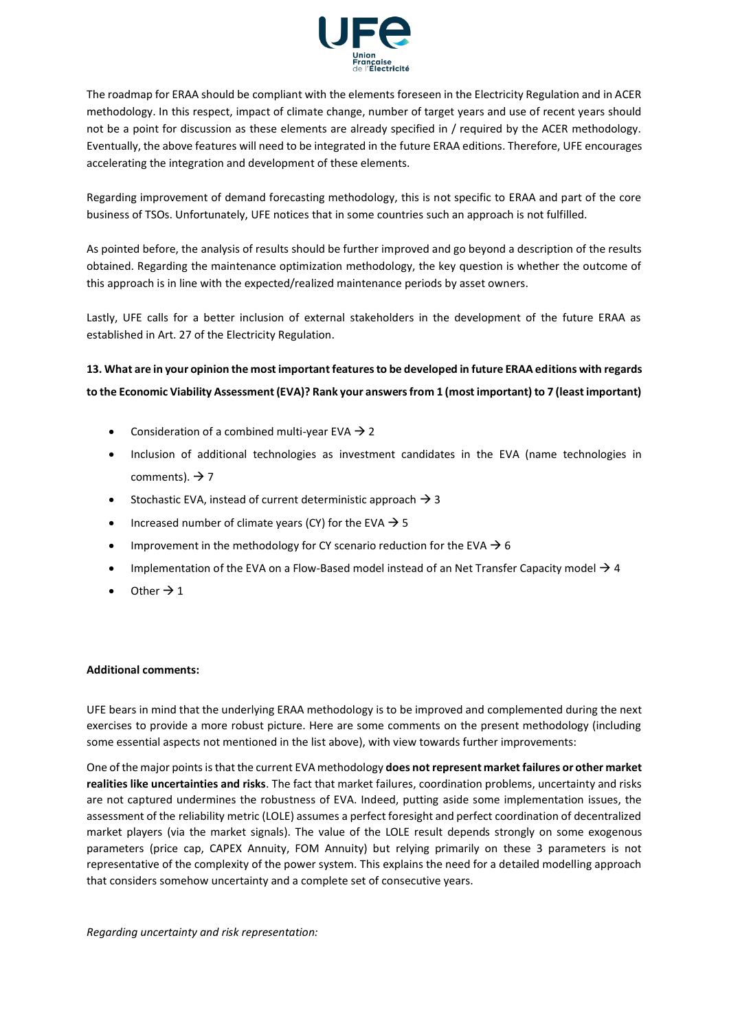

The roadmap for ERAA should be compliant with the elements foreseen in the Electricity Regulation and in ACER methodology. In this respect, impact of climate change, number of target years and use of recent years should not be a point for discussion as these elements are already specified in / required by the ACER methodology. Eventually, the above features will need to be integrated in the future ERAA editions. Therefore, UFE encourages accelerating the integration and development of these elements.

Regarding improvement of demand forecasting methodology, this is not specific to ERAA and part of the core business of TSOs. Unfortunately, UFE notices that in some countries such an approach is not fulfilled.

As pointed before, the analysis of results should be further improved and go beyond a description of the results obtained. Regarding the maintenance optimization methodology, the key question is whether the outcome of this approach is in line with the expected/realized maintenance periods by asset owners.

Lastly, UFE calls for a better inclusion of external stakeholders in the development of the future ERAA as established in Art. 27 of the Electricity Regulation.

### **13. What are in your opinion the most important features to be developed in future ERAA editions with regards to the Economic Viability Assessment (EVA)? Rank your answers from 1 (most important) to 7 (least important)**

- Consideration of a combined multi-year EVA  $\rightarrow$  2
- Inclusion of additional technologies as investment candidates in the EVA (name technologies in comments).  $\rightarrow$  7
- Stochastic EVA, instead of current deterministic approach  $\rightarrow$  3
- Increased number of climate years (CY) for the EVA  $\rightarrow$  5
- Improvement in the methodology for CY scenario reduction for the EVA  $\rightarrow$  6
- Implementation of the EVA on a Flow-Based model instead of an Net Transfer Capacity model  $\rightarrow$  4
- Other  $\rightarrow$  1

### **Additional comments:**

UFE bears in mind that the underlying ERAA methodology is to be improved and complemented during the next exercises to provide a more robust picture. Here are some comments on the present methodology (including some essential aspects not mentioned in the list above), with view towards further improvements:

One of the major points is that the current EVA methodology **does not represent market failures or other market realities like uncertainties and risks**. The fact that market failures, coordination problems, uncertainty and risks are not captured undermines the robustness of EVA. Indeed, putting aside some implementation issues, the assessment of the reliability metric (LOLE) assumes a perfect foresight and perfect coordination of decentralized market players (via the market signals). The value of the LOLE result depends strongly on some exogenous parameters (price cap, CAPEX Annuity, FOM Annuity) but relying primarily on these 3 parameters is not representative of the complexity of the power system. This explains the need for a detailed modelling approach that considers somehow uncertainty and a complete set of consecutive years.

*Regarding uncertainty and risk representation:*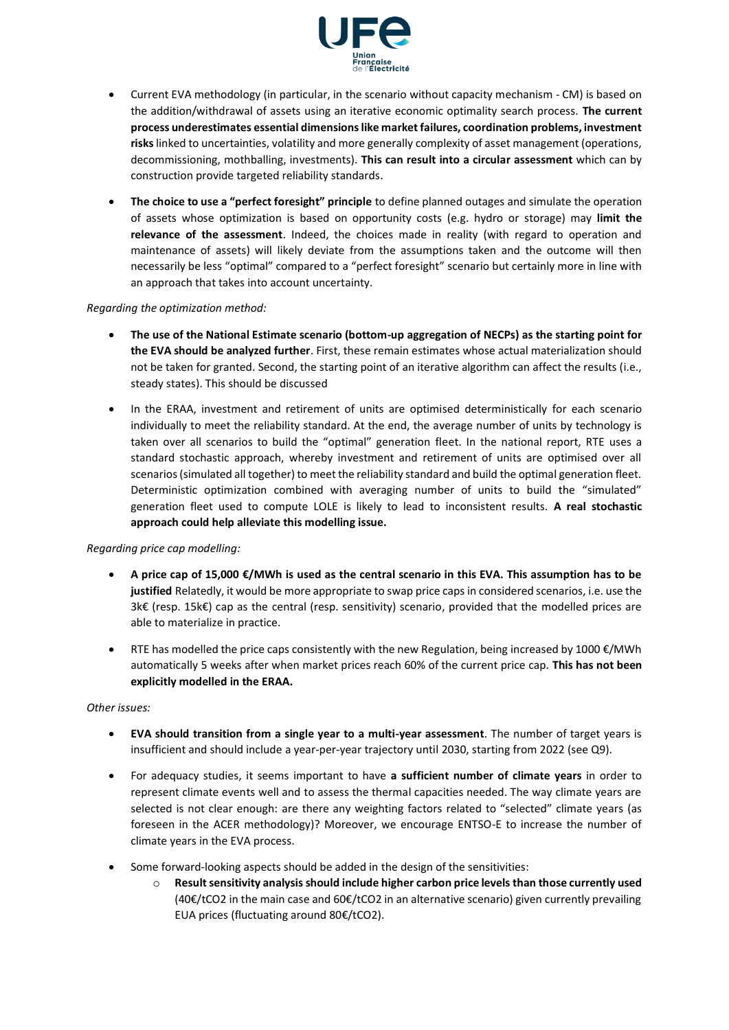

- Current EVA methodology (in particular, in the scenario without capacity mechanism CM) is based on the addition/withdrawal of assets using an iterative economic optimality search process. **The current process underestimates essential dimensions like market failures, coordination problems, investment risks** linked to uncertainties, volatility and more generally complexity of asset management (operations, decommissioning, mothballing, investments). **This can result into a circular assessment** which can by construction provide targeted reliability standards.
- **The choice to use a "perfect foresight" principle** to define planned outages and simulate the operation of assets whose optimization is based on opportunity costs (e.g. hydro or storage) may **limit the relevance of the assessment**. Indeed, the choices made in reality (with regard to operation and maintenance of assets) will likely deviate from the assumptions taken and the outcome will then necessarily be less "optimal" compared to a "perfect foresight" scenario but certainly more in line with an approach that takes into account uncertainty.

### *Regarding the optimization method:*

- **The use of the National Estimate scenario (bottom-up aggregation of NECPs) as the starting point for the EVA should be analyzed further**. First, these remain estimates whose actual materialization should not be taken for granted. Second, the starting point of an iterative algorithm can affect the results (i.e., steady states). This should be discussed
- In the ERAA, investment and retirement of units are optimised deterministically for each scenario individually to meet the reliability standard. At the end, the average number of units by technology is taken over all scenarios to build the "optimal" generation fleet. In the national report, RTE uses a standard stochastic approach, whereby investment and retirement of units are optimised over all scenarios (simulated all together) to meet the reliability standard and build the optimal generation fleet. Deterministic optimization combined with averaging number of units to build the "simulated" generation fleet used to compute LOLE is likely to lead to inconsistent results. **A real stochastic approach could help alleviate this modelling issue.**

### *Regarding price cap modelling:*

- **A price cap of 15,000 €/MWh is used as the central scenario in this EVA. This assumption has to be justified** Relatedly, it would be more appropriate to swap price caps in considered scenarios, i.e. use the 3k€ (resp. 15k€) cap as the central (resp. sensitivity) scenario, provided that the modelled prices are able to materialize in practice.
- RTE has modelled the price caps consistently with the new Regulation, being increased by 1000 €/MWh automatically 5 weeks after when market prices reach 60% of the current price cap. **This has not been explicitly modelled in the ERAA.**

#### *Other issues:*

- **EVA should transition from a single year to a multi-year assessment**. The number of target years is insufficient and should include a year-per-year trajectory until 2030, starting from 2022 (see Q9).
- For adequacy studies, it seems important to have **a sufficient number of climate years** in order to represent climate events well and to assess the thermal capacities needed. The way climate years are selected is not clear enough: are there any weighting factors related to "selected" climate years (as foreseen in the ACER methodology)? Moreover, we encourage ENTSO-E to increase the number of climate years in the EVA process.
- Some forward-looking aspects should be added in the design of the sensitivities:
	- o **Result sensitivity analysis should include higher carbon price levels than those currently used** (40€/tCO2 in the main case and 60€/tCO2 in an alternative scenario) given currently prevailing EUA prices (fluctuating around 80€/tCO2).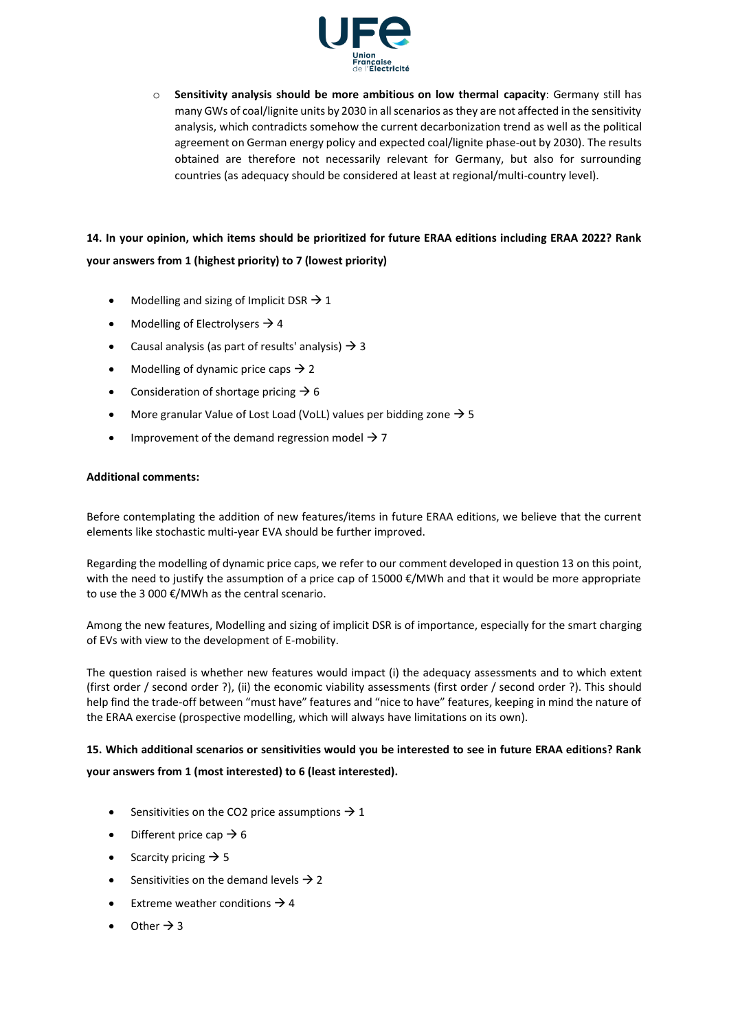

o **Sensitivity analysis should be more ambitious on low thermal capacity**: Germany still has many GWs of coal/lignite units by 2030 in all scenarios as they are not affected in the sensitivity analysis, which contradicts somehow the current decarbonization trend as well as the political agreement on German energy policy and expected coal/lignite phase-out by 2030). The results obtained are therefore not necessarily relevant for Germany, but also for surrounding countries (as adequacy should be considered at least at regional/multi-country level).

### **14. In your opinion, which items should be prioritized for future ERAA editions including ERAA 2022? Rank your answers from 1 (highest priority) to 7 (lowest priority)**

- Modelling and sizing of Implicit DSR  $\rightarrow$  1
- Modelling of Electrolysers  $\rightarrow$  4
- Causal analysis (as part of results' analysis)  $\rightarrow$  3
- Modelling of dynamic price caps  $\rightarrow$  2
- Consideration of shortage pricing  $\rightarrow$  6
- More granular Value of Lost Load (VoLL) values per bidding zone  $\rightarrow$  5
- Improvement of the demand regression model  $\rightarrow$  7

#### **Additional comments:**

Before contemplating the addition of new features/items in future ERAA editions, we believe that the current elements like stochastic multi-year EVA should be further improved.

Regarding the modelling of dynamic price caps, we refer to our comment developed in question 13 on this point, with the need to justify the assumption of a price cap of 15000 €/MWh and that it would be more appropriate to use the 3 000 €/MWh as the central scenario.

Among the new features, Modelling and sizing of implicit DSR is of importance, especially for the smart charging of EVs with view to the development of E-mobility.

The question raised is whether new features would impact (i) the adequacy assessments and to which extent (first order / second order ?), (ii) the economic viability assessments (first order / second order ?). This should help find the trade-off between "must have" features and "nice to have" features, keeping in mind the nature of the ERAA exercise (prospective modelling, which will always have limitations on its own).

### **15. Which additional scenarios or sensitivities would you be interested to see in future ERAA editions? Rank**

### **your answers from 1 (most interested) to 6 (least interested).**

- Sensitivities on the CO2 price assumptions  $\rightarrow$  1
- Different price cap  $\rightarrow$  6
- Scarcity pricing  $\rightarrow$  5
- Sensitivities on the demand levels  $\rightarrow$  2
- Extreme weather conditions  $\rightarrow$  4
- Other  $\rightarrow$  3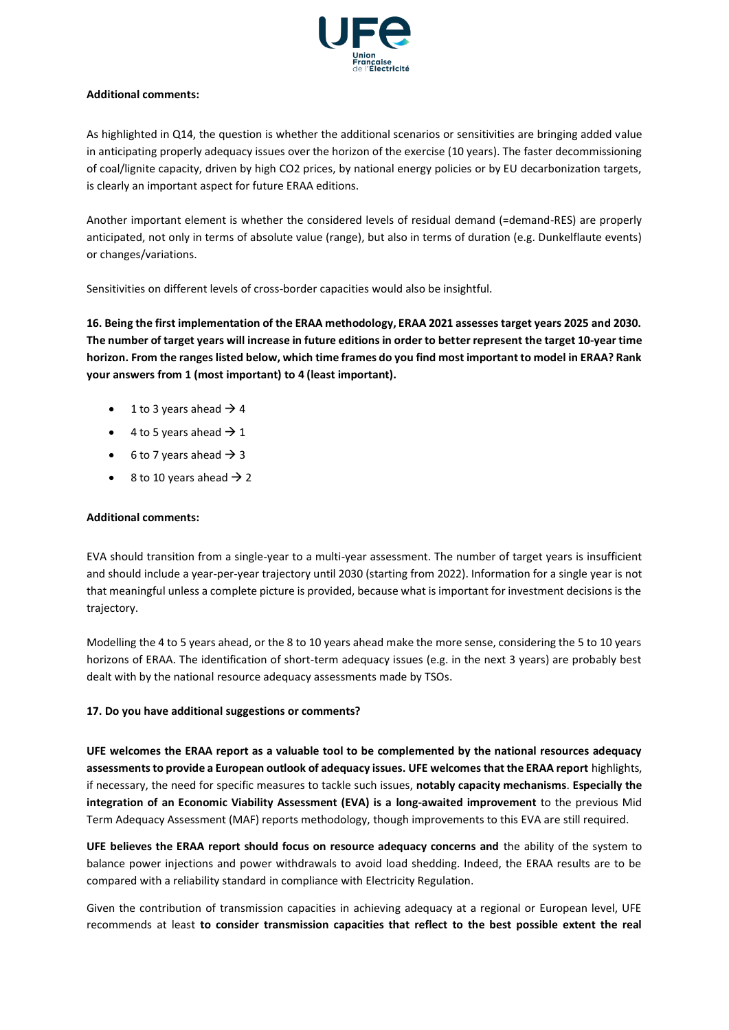

### **Additional comments:**

As highlighted in Q14, the question is whether the additional scenarios or sensitivities are bringing added value in anticipating properly adequacy issues over the horizon of the exercise (10 years). The faster decommissioning of coal/lignite capacity, driven by high CO2 prices, by national energy policies or by EU decarbonization targets, is clearly an important aspect for future ERAA editions.

Another important element is whether the considered levels of residual demand (=demand-RES) are properly anticipated, not only in terms of absolute value (range), but also in terms of duration (e.g. Dunkelflaute events) or changes/variations.

Sensitivities on different levels of cross-border capacities would also be insightful.

**16. Being the first implementation of the ERAA methodology, ERAA 2021 assesses target years 2025 and 2030. The number of target years will increase in future editions in order to better represent the target 10-year time horizon. From the ranges listed below, which time frames do you find most important to model in ERAA? Rank your answers from 1 (most important) to 4 (least important).**

- 1 to 3 years ahead  $\rightarrow$  4
- 4 to 5 years ahead  $\rightarrow$  1
- 6 to 7 years ahead  $\rightarrow$  3
- 8 to 10 years ahead  $\rightarrow$  2

### **Additional comments:**

EVA should transition from a single-year to a multi-year assessment. The number of target years is insufficient and should include a year-per-year trajectory until 2030 (starting from 2022). Information for a single year is not that meaningful unless a complete picture is provided, because what is important for investment decisions is the trajectory.

Modelling the 4 to 5 years ahead, or the 8 to 10 years ahead make the more sense, considering the 5 to 10 years horizons of ERAA. The identification of short-term adequacy issues (e.g. in the next 3 years) are probably best dealt with by the national resource adequacy assessments made by TSOs.

### **17. Do you have additional suggestions or comments?**

**UFE welcomes the ERAA report as a valuable tool to be complemented by the national resources adequacy assessments to provide a European outlook of adequacy issues. UFE welcomes that the ERAA report** highlights, if necessary, the need for specific measures to tackle such issues, **notably capacity mechanisms**. **Especially the integration of an Economic Viability Assessment (EVA) is a long-awaited improvement** to the previous Mid Term Adequacy Assessment (MAF) reports methodology, though improvements to this EVA are still required.

**UFE believes the ERAA report should focus on resource adequacy concerns and** the ability of the system to balance power injections and power withdrawals to avoid load shedding. Indeed, the ERAA results are to be compared with a reliability standard in compliance with Electricity Regulation.

Given the contribution of transmission capacities in achieving adequacy at a regional or European level, UFE recommends at least **to consider transmission capacities that reflect to the best possible extent the real**